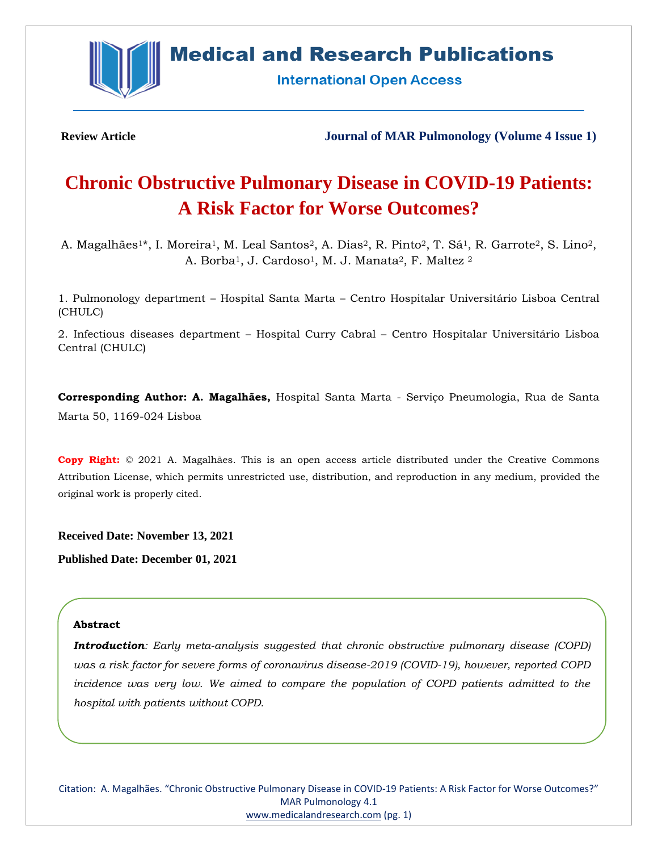

# **Medical and Research Publications**

**International Open Access** 

**Review Article Journal of MAR Pulmonology (Volume 4 Issue 1)**

# **Chronic Obstructive Pulmonary Disease in COVID-19 Patients: A Risk Factor for Worse Outcomes?**

A. Magalhães<sup>1\*</sup>, I. Moreira<sup>1</sup>, M. Leal Santos<sup>2</sup>, A. Dias<sup>2</sup>, R. Pinto<sup>2</sup>, T. Sá<sup>1</sup>, R. Garrote<sup>2</sup>, S. Lino<sup>2</sup>, A. Borba<sup>1</sup>, J. Cardoso<sup>1</sup>, M. J. Manata<sup>2</sup>, F. Maltez <sup>2</sup>

1. Pulmonology department – Hospital Santa Marta – Centro Hospitalar Universitário Lisboa Central (CHULC)

2. Infectious diseases department – Hospital Curry Cabral – Centro Hospitalar Universitário Lisboa Central (CHULC)

**Corresponding Author: A. Magalhães,** Hospital Santa Marta - Serviço Pneumologia, Rua de Santa Marta 50, 1169-024 Lisboa

**Copy Right:** © 2021 A. Magalhães. This is an open access article distributed under the Creative Commons Attribution License, which permits unrestricted use, distribution, and reproduction in any medium, provided the original work is properly cited.

**Received Date: November 13, 2021**

**Published Date: December 01, 2021**

# **Abstract**

*Introduction: Early meta-analysis suggested that chronic obstructive pulmonary disease (COPD) was a risk factor for severe forms of coronavirus disease-2019 (COVID-19), however, reported COPD incidence was very low. We aimed to compare the population of COPD patients admitted to the hospital with patients without COPD.*

Citation: A. Magalhães. "Chronic Obstructive Pulmonary Disease in COVID-19 Patients: A Risk Factor for Worse Outcomes?" MAR Pulmonology 4.1 [www.medicalandresearch.com](http://www.medicalandresearch.com/) (pg. 1)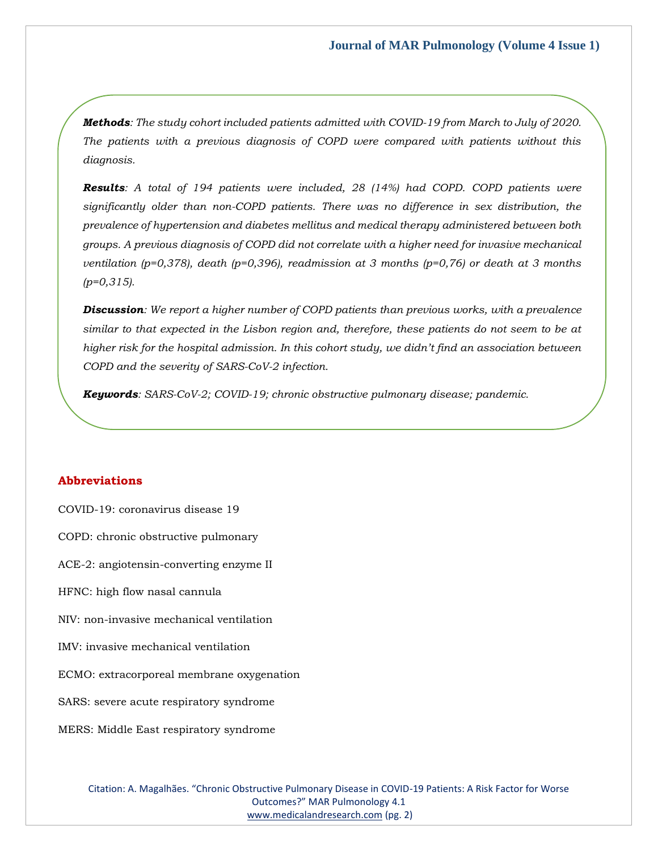*Methods: The study cohort included patients admitted with COVID-19 from March to July of 2020. The patients with a previous diagnosis of COPD were compared with patients without this diagnosis.*

*Results: A total of 194 patients were included, 28 (14%) had COPD. COPD patients were significantly older than non-COPD patients. There was no difference in sex distribution, the prevalence of hypertension and diabetes mellitus and medical therapy administered between both groups. A previous diagnosis of COPD did not correlate with a higher need for invasive mechanical ventilation (p=0,378), death (p=0,396), readmission at 3 months (p=0,76) or death at 3 months (p=0,315).*

*Discussion: We report a higher number of COPD patients than previous works, with a prevalence similar to that expected in the Lisbon region and, therefore, these patients do not seem to be at higher risk for the hospital admission. In this cohort study, we didn't find an association between COPD and the severity of SARS-CoV-2 infection.*

*Keywords: SARS-CoV-2; COVID-19; chronic obstructive pulmonary disease; pandemic.*

## **Abbreviations**

COVID-19: coronavirus disease 19 COPD: chronic obstructive pulmonary ACE-2: angiotensin-converting enzyme II HFNC: high flow nasal cannula NIV: non-invasive mechanical ventilation IMV: invasive mechanical ventilation ECMO: extracorporeal membrane oxygenation SARS: severe acute respiratory syndrome MERS: Middle East respiratory syndrome

> Citation: A. Magalhães. "Chronic Obstructive Pulmonary Disease in COVID-19 Patients: A Risk Factor for Worse Outcomes?" MAR Pulmonology 4.1 [www.medicalandresearch.com](http://www.medicalandresearch.com/) (pg. 2)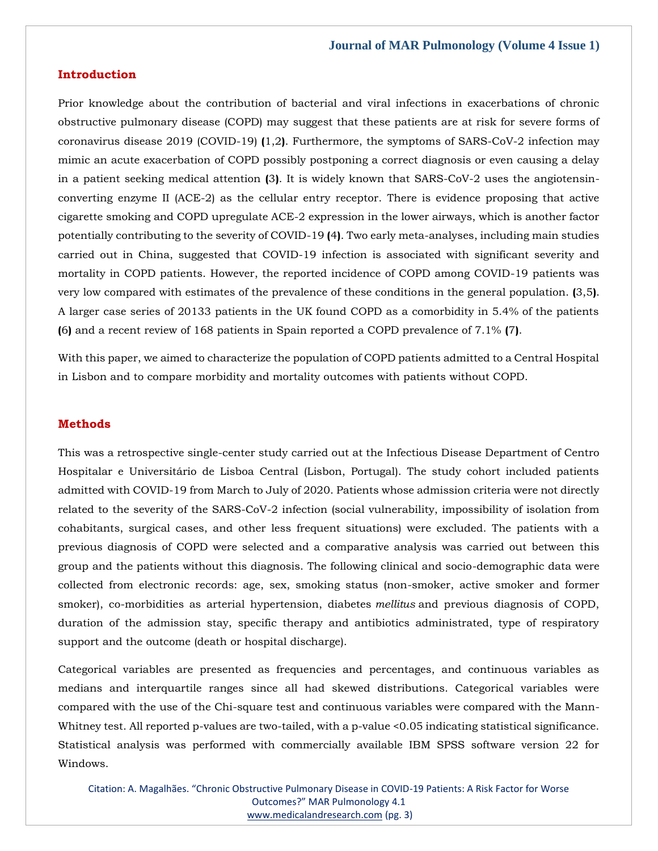## **Introduction**

Prior knowledge about the contribution of bacterial and viral infections in exacerbations of chronic obstructive pulmonary disease (COPD) may suggest that these patients are at risk for severe forms of coronavirus disease 2019 (COVID-19) **(**1,2**)**. Furthermore, the symptoms of SARS-CoV-2 infection may mimic an acute exacerbation of COPD possibly postponing a correct diagnosis or even causing a delay in a patient seeking medical attention **(**3**)**. It is widely known that SARS-CoV-2 uses the angiotensinconverting enzyme II (ACE-2) as the cellular entry receptor. There is evidence proposing that active cigarette smoking and COPD upregulate ACE-2 expression in the lower airways, which is another factor potentially contributing to the severity of COVID-19 **(**4**)**. Two early meta-analyses, including main studies carried out in China, suggested that COVID-19 infection is associated with significant severity and mortality in COPD patients. However, the reported incidence of COPD among COVID-19 patients was very low compared with estimates of the prevalence of these conditions in the general population. **(**3,5**)**. A larger case series of 20133 patients in the UK found COPD as a comorbidity in 5.4% of the patients **(**6**)** and a recent review of 168 patients in Spain reported a COPD prevalence of 7.1% **(**7**)**.

With this paper, we aimed to characterize the population of COPD patients admitted to a Central Hospital in Lisbon and to compare morbidity and mortality outcomes with patients without COPD.

#### **Methods**

This was a retrospective single-center study carried out at the Infectious Disease Department of Centro Hospitalar e Universitário de Lisboa Central (Lisbon, Portugal). The study cohort included patients admitted with COVID-19 from March to July of 2020. Patients whose admission criteria were not directly related to the severity of the SARS-CoV-2 infection (social vulnerability, impossibility of isolation from cohabitants, surgical cases, and other less frequent situations) were excluded. The patients with a previous diagnosis of COPD were selected and a comparative analysis was carried out between this group and the patients without this diagnosis. The following clinical and socio-demographic data were collected from electronic records: age, sex, smoking status (non-smoker, active smoker and former smoker), co-morbidities as arterial hypertension, diabetes *mellitus* and previous diagnosis of COPD, duration of the admission stay, specific therapy and antibiotics administrated, type of respiratory support and the outcome (death or hospital discharge).

Categorical variables are presented as frequencies and percentages, and continuous variables as medians and interquartile ranges since all had skewed distributions. Categorical variables were compared with the use of the Chi-square test and continuous variables were compared with the Mann-Whitney test. All reported p-values are two-tailed, with a p-value <0.05 indicating statistical significance. Statistical analysis was performed with commercially available IBM SPSS software version 22 for Windows.

Citation: A. Magalhães. "Chronic Obstructive Pulmonary Disease in COVID-19 Patients: A Risk Factor for Worse Outcomes?" MAR Pulmonology 4.1 [www.medicalandresearch.com](http://www.medicalandresearch.com/) (pg. 3)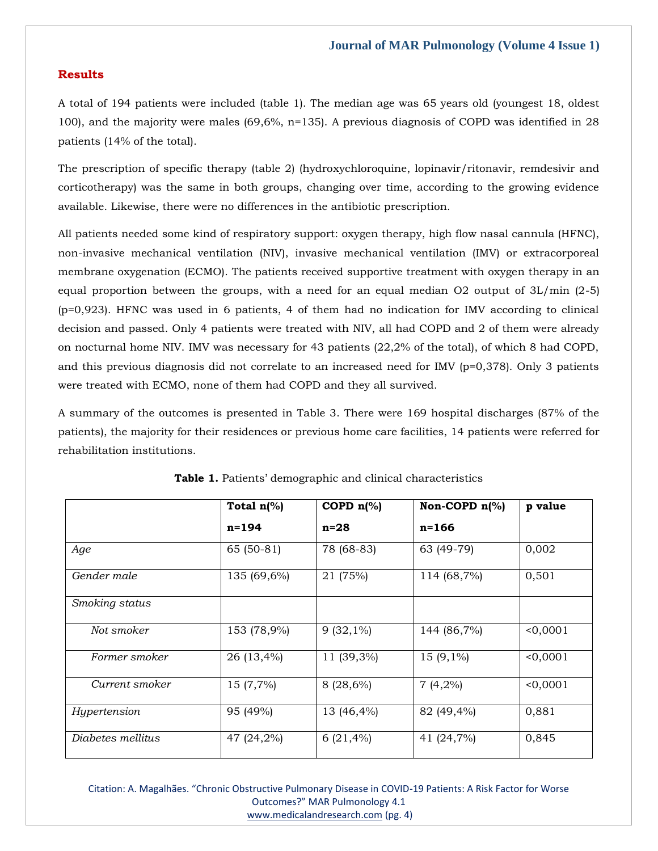# **Results**

A total of 194 patients were included (table 1). The median age was 65 years old (youngest 18, oldest 100), and the majority were males (69,6%, n=135). A previous diagnosis of COPD was identified in 28 patients (14% of the total).

The prescription of specific therapy (table 2) (hydroxychloroquine, lopinavir/ritonavir, remdesivir and corticotherapy) was the same in both groups, changing over time, according to the growing evidence available. Likewise, there were no differences in the antibiotic prescription.

All patients needed some kind of respiratory support: oxygen therapy, high flow nasal cannula (HFNC), non-invasive mechanical ventilation (NIV), invasive mechanical ventilation (IMV) or extracorporeal membrane oxygenation (ECMO). The patients received supportive treatment with oxygen therapy in an equal proportion between the groups, with a need for an equal median O2 output of  $3L/min$  (2-5) (p=0,923). HFNC was used in 6 patients, 4 of them had no indication for IMV according to clinical decision and passed. Only 4 patients were treated with NIV, all had COPD and 2 of them were already on nocturnal home NIV. IMV was necessary for 43 patients (22,2% of the total), of which 8 had COPD, and this previous diagnosis did not correlate to an increased need for IMV (p=0,378). Only 3 patients were treated with ECMO, none of them had COPD and they all survived.

A summary of the outcomes is presented in Table 3. There were 169 hospital discharges (87% of the patients), the majority for their residences or previous home care facilities, 14 patients were referred for rehabilitation institutions.

|                   | COPD $n$ <sup>(%)</sup><br>Total $n$ <sup>(%)</sup><br>Non-COPD $n\frac{1}{6}$ |             | p value     |          |
|-------------------|--------------------------------------------------------------------------------|-------------|-------------|----------|
|                   | $n = 194$                                                                      | $n=28$      | $n = 166$   |          |
| Age               | $65(50-81)$                                                                    | 78 (68-83)  | 63 (49-79)  | 0,002    |
| Gender male       | 135 (69,6%)                                                                    | 21 (75%)    | 114 (68,7%) | 0,501    |
| Smoking status    |                                                                                |             |             |          |
| Not smoker        | 153 (78,9%)                                                                    | $9(32,1\%)$ | 144 (86,7%) | < 0,0001 |
| Former smoker     | 26 (13,4%)                                                                     | 11 (39,3%)  | $15(9,1\%)$ | < 0,0001 |
| Current smoker    | 15 (7,7%)                                                                      | 8 (28,6%)   | $7(4,2\%)$  | 0,0001   |
| Hypertension      | 95 (49%)                                                                       | 13 (46,4%)  | 82 (49,4%)  | 0,881    |
| Diabetes mellitus | 47 (24,2%)                                                                     | $6(21,4\%)$ | 41 (24,7%)  | 0,845    |

**Table 1.** Patients' demographic and clinical characteristics

Citation: A. Magalhães. "Chronic Obstructive Pulmonary Disease in COVID-19 Patients: A Risk Factor for Worse Outcomes?" MAR Pulmonology 4.1 [www.medicalandresearch.com](http://www.medicalandresearch.com/) (pg. 4)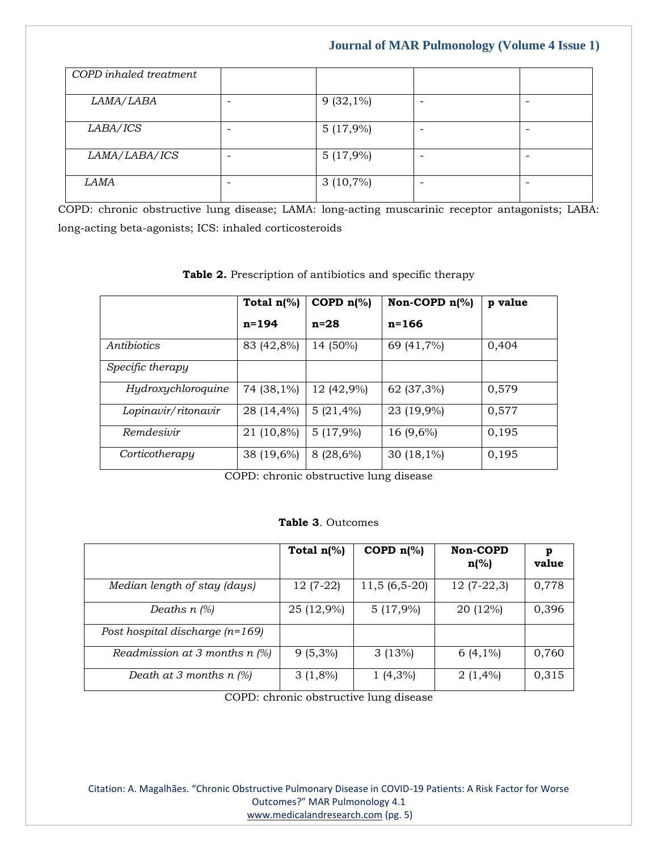# **Journal of MAR Pulmonology (Volume 4 Issue 1)**

| COPD inhaled treatment |   |             |                 |  |
|------------------------|---|-------------|-----------------|--|
| LAMA/LABA              | ۰ | $9(32,1\%)$ | $\qquad \qquad$ |  |
| LABA/ICS               |   | 5(17,9%)    |                 |  |
| LAMA/LABA/ICS          |   | 5(17,9%)    |                 |  |
| <i>LAMA</i>            |   | $3(10,7\%)$ | -               |  |

COPD: chronic obstructive lung disease; LAMA: long-acting muscarinic receptor antagonists; LABA: long-acting beta-agonists; ICS: inhaled corticosteroids

|                     | Total $n\frac{9}{6}$ | COPD $n\frac{1}{6}$ | Non-COPD $n\llap/$ | p value |
|---------------------|----------------------|---------------------|--------------------|---------|
|                     | $n = 194$            | $n=28$              | $n = 166$          |         |
| Antibiotics         | 83 (42,8%)           | 14 (50%)            | 69 (41,7%)         | 0,404   |
| Specific therapy    |                      |                     |                    |         |
| Hydroxychloroquine  | 74 (38,1%)           | 12 (42,9%)          | 62 (37,3%)         | 0,579   |
| Lopinavir/ritonavir | 28 (14,4%)           | $5(21,4\%)$         | 23 (19,9%)         | 0,577   |
| Remdesivir          | 21 (10,8%)           | 5(17,9%)            | 16 (9,6%)          | 0,195   |
| Corticotherapy      | $38(19,6\%)$         | 8 (28,6%)           | 30 $(18,1\%)$      | 0,195   |

**Table 2.** Prescription of antibiotics and specific therapy

COPD: chronic obstructive lung disease

#### **Table 3**. Outcomes

|                                   | Total $n$ <sup>(%)</sup> | COPD $n$ <sup>(%)</sup> | Non-COPD<br>$n\frac{6}{6}$ | р<br>value |
|-----------------------------------|--------------------------|-------------------------|----------------------------|------------|
| Median length of stay (days)      | $12(7-22)$               | $11,5(6,5-20)$          | $12(7-22,3)$               | 0,778      |
| Deaths $n$ (%)                    | 25 (12,9%)               | 5(17,9%)                | 20 (12%)                   | 0,396      |
| Post hospital discharge $(n=169)$ |                          |                         |                            |            |
| Readmission at 3 months $n$ (%)   | $9(5,3\%)$               | 3(13%)                  | $6(4,1\%)$                 | 0,760      |
| Death at 3 months $n$ (%)         | $3(1,8\%)$               | $1(4,3\%)$              | $2(1,4\%)$                 | 0,315      |

COPD: chronic obstructive lung disease

Citation: A. Magalhães. "Chronic Obstructive Pulmonary Disease in COVID-19 Patients: A Risk Factor for Worse Outcomes?" MAR Pulmonology 4.1 [www.medicalandresearch.com](http://www.medicalandresearch.com/) (pg. 5)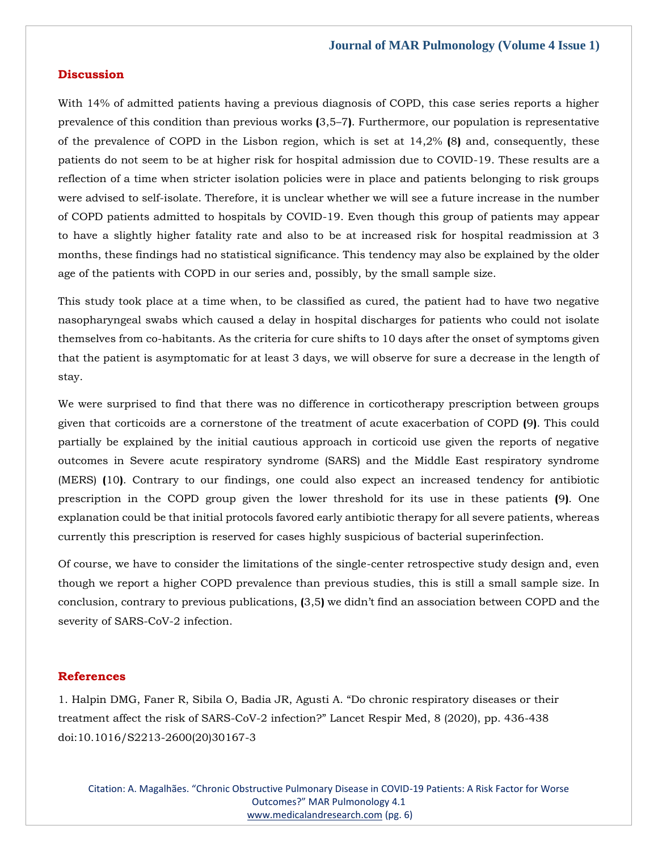#### **Discussion**

With 14% of admitted patients having a previous diagnosis of COPD, this case series reports a higher prevalence of this condition than previous works **(**3,5–7**)**. Furthermore, our population is representative of the prevalence of COPD in the Lisbon region, which is set at 14,2% **(**8**)** and, consequently, these patients do not seem to be at higher risk for hospital admission due to COVID-19. These results are a reflection of a time when stricter isolation policies were in place and patients belonging to risk groups were advised to self-isolate. Therefore, it is unclear whether we will see a future increase in the number of COPD patients admitted to hospitals by COVID-19. Even though this group of patients may appear to have a slightly higher fatality rate and also to be at increased risk for hospital readmission at 3 months, these findings had no statistical significance. This tendency may also be explained by the older age of the patients with COPD in our series and, possibly, by the small sample size.

This study took place at a time when, to be classified as cured, the patient had to have two negative nasopharyngeal swabs which caused a delay in hospital discharges for patients who could not isolate themselves from co-habitants. As the criteria for cure shifts to 10 days after the onset of symptoms given that the patient is asymptomatic for at least 3 days, we will observe for sure a decrease in the length of stay.

We were surprised to find that there was no difference in corticotherapy prescription between groups given that corticoids are a cornerstone of the treatment of acute exacerbation of COPD **(**9**)**. This could partially be explained by the initial cautious approach in corticoid use given the reports of negative outcomes in Severe acute respiratory syndrome (SARS) and the Middle East respiratory syndrome (MERS) **(**10**)**. Contrary to our findings, one could also expect an increased tendency for antibiotic prescription in the COPD group given the lower threshold for its use in these patients **(**9**)**. One explanation could be that initial protocols favored early antibiotic therapy for all severe patients, whereas currently this prescription is reserved for cases highly suspicious of bacterial superinfection.

Of course, we have to consider the limitations of the single-center retrospective study design and, even though we report a higher COPD prevalence than previous studies, this is still a small sample size. In conclusion, contrary to previous publications, **(**3,5**)** we didn't find an association between COPD and the severity of SARS-CoV-2 infection.

# **References**

1. Halpin DMG, Fane[r R, Sibila O, Badia JR, Agusti A. "Do chronic respiratory diseases or their](https://www.google.com/search?q=Do+chronic+respiratory+diseases+or+their+treatment+affect+the+risk+of+SARS-CoV-2+infection%3F&oq=Do+chronic+respiratory+diseases+or+their+treatment+affect+the+risk+of+SARS-CoV-2+infection%3F&aqs=chrome..69i57.2185j0j7&sourceid=chrome&ie=UTF-8)  treatment affect the risk of SARS-CoV-[2 infection?" Lancet Respir Med, 8 \(2020\), pp. 436](https://www.google.com/search?q=Do+chronic+respiratory+diseases+or+their+treatment+affect+the+risk+of+SARS-CoV-2+infection%3F&oq=Do+chronic+respiratory+diseases+or+their+treatment+affect+the+risk+of+SARS-CoV-2+infection%3F&aqs=chrome..69i57.2185j0j7&sourceid=chrome&ie=UTF-8)-438 [doi:10.1016/S2213-2600\(20\)30167-3](https://www.google.com/search?q=Do+chronic+respiratory+diseases+or+their+treatment+affect+the+risk+of+SARS-CoV-2+infection%3F&oq=Do+chronic+respiratory+diseases+or+their+treatment+affect+the+risk+of+SARS-CoV-2+infection%3F&aqs=chrome..69i57.2185j0j7&sourceid=chrome&ie=UTF-8)

Citation: A. Magalhães. "Chronic Obstructive Pulmonary Disease in COVID-19 Patients: A Risk Factor for Worse Outcomes?" MAR Pulmonology 4.1 [www.medicalandresearch.com](http://www.medicalandresearch.com/) (pg. 6)